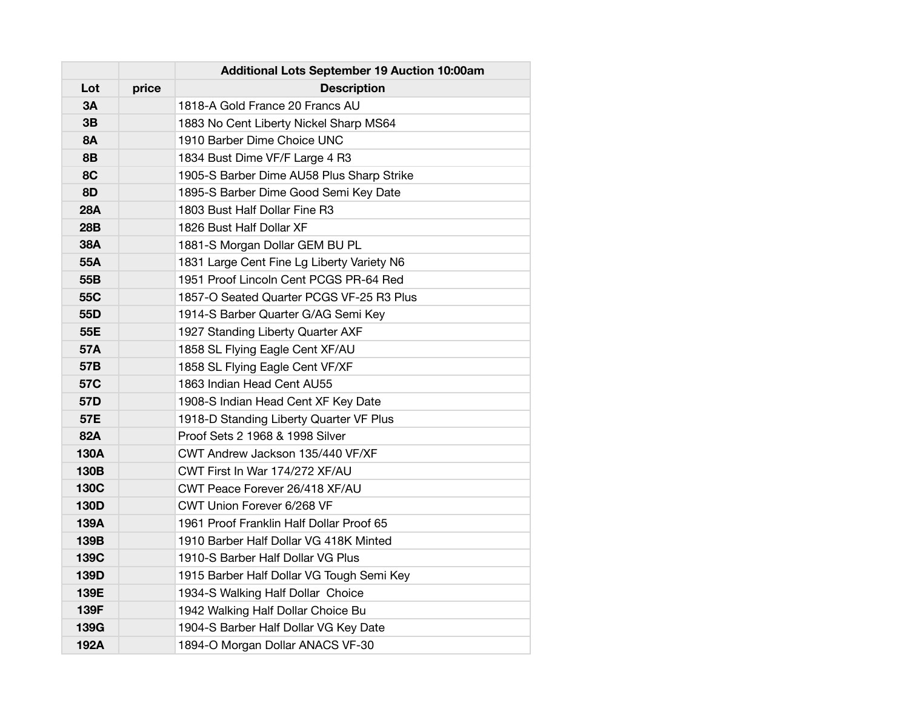|           |       | Additional Lots September 19 Auction 10:00am |
|-----------|-------|----------------------------------------------|
| Lot       | price | <b>Description</b>                           |
| 3A        |       | 1818-A Gold France 20 Francs AU              |
| 3B        |       | 1883 No Cent Liberty Nickel Sharp MS64       |
| <b>8A</b> |       | 1910 Barber Dime Choice UNC                  |
| <b>8B</b> |       | 1834 Bust Dime VF/F Large 4 R3               |
| 8C        |       | 1905-S Barber Dime AU58 Plus Sharp Strike    |
| 8D        |       | 1895-S Barber Dime Good Semi Key Date        |
| 28A       |       | 1803 Bust Half Dollar Fine R3                |
| 28B       |       | 1826 Bust Half Dollar XF                     |
| 38A       |       | 1881-S Morgan Dollar GEM BU PL               |
| 55A       |       | 1831 Large Cent Fine Lg Liberty Variety N6   |
| 55B       |       | 1951 Proof Lincoln Cent PCGS PR-64 Red       |
| 55C       |       | 1857-O Seated Quarter PCGS VF-25 R3 Plus     |
| 55D       |       | 1914-S Barber Quarter G/AG Semi Key          |
| 55E       |       | 1927 Standing Liberty Quarter AXF            |
| 57A       |       | 1858 SL Flying Eagle Cent XF/AU              |
| 57B       |       | 1858 SL Flying Eagle Cent VF/XF              |
| 57C       |       | 1863 Indian Head Cent AU55                   |
| 57D       |       | 1908-S Indian Head Cent XF Key Date          |
| 57E       |       | 1918-D Standing Liberty Quarter VF Plus      |
| 82A       |       | Proof Sets 2 1968 & 1998 Silver              |
| 130A      |       | CWT Andrew Jackson 135/440 VF/XF             |
| 130B      |       | CWT First In War 174/272 XF/AU               |
| 130C      |       | CWT Peace Forever 26/418 XF/AU               |
| 130D      |       | CWT Union Forever 6/268 VF                   |
| 139A      |       | 1961 Proof Franklin Half Dollar Proof 65     |
| 139B      |       | 1910 Barber Half Dollar VG 418K Minted       |
| 139C      |       | 1910-S Barber Half Dollar VG Plus            |
| 139D      |       | 1915 Barber Half Dollar VG Tough Semi Key    |
| 139E      |       | 1934-S Walking Half Dollar Choice            |
| 139F      |       | 1942 Walking Half Dollar Choice Bu           |
| 139G      |       | 1904-S Barber Half Dollar VG Key Date        |
| 192A      |       | 1894-O Morgan Dollar ANACS VF-30             |